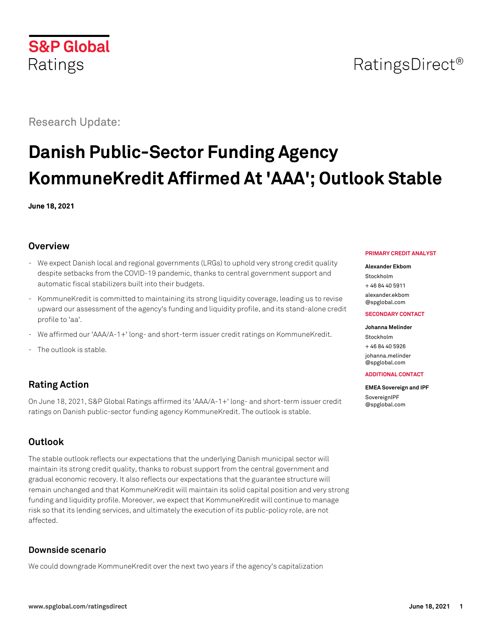

## RatingsDirect<sup>®</sup>

Research Update:

# **Danish Public-Sector Funding Agency KommuneKredit Affirmed At 'AAA'; Outlook Stable**

**June 18, 2021**

## **Overview**

- We expect Danish local and regional governments (LRGs) to uphold very strong credit quality despite setbacks from the COVID-19 pandemic, thanks to central government support and automatic fiscal stabilizers built into their budgets.
- KommuneKredit is committed to maintaining its strong liquidity coverage, leading us to revise upward our assessment of the agency's funding and liquidity profile, and its stand-alone credit profile to 'aa'.
- We affirmed our 'AAA/A-1+' long- and short-term issuer credit ratings on KommuneKredit.
- The outlook is stable.

## **Rating Action**

On June 18, 2021, S&P Global Ratings affirmed its 'AAA/A-1+' long- and short-term issuer credit ratings on Danish public-sector funding agency KommuneKredit. The outlook is stable.

## **Outlook**

The stable outlook reflects our expectations that the underlying Danish municipal sector will maintain its strong credit quality, thanks to robust support from the central government and gradual economic recovery. It also reflects our expectations that the guarantee structure will remain unchanged and that KommuneKredit will maintain its solid capital position and very strong funding and liquidity profile. Moreover, we expect that KommuneKredit will continue to manage risk so that its lending services, and ultimately the execution of its public-policy role, are not affected.

## **Downside scenario**

We could downgrade KommuneKredit over the next two years if the agency's capitalization

#### **PRIMARY CREDIT ANALYST**

#### **Alexander Ekbom**

Stockholm + 46 84 40 5911 [alexander.ekbom](mailto:alexander.ekbom@spglobal.com)

[@spglobal.com](mailto:alexander.ekbom@spglobal.com)

#### **SECONDARY CONTACT**

#### **Johanna Melinder**

Stockholm + 46 84 40 5926 [johanna.melinder](mailto:johanna.melinder@spglobal.com) [@spglobal.com](mailto:johanna.melinder@spglobal.com)

#### **ADDITIONAL CONTACT**

## **EMEA Sovereign and IPF**

**[SovereignIPF](mailto:SovereignIPF@spglobal.com)** [@spglobal.com](mailto:SovereignIPF@spglobal.com)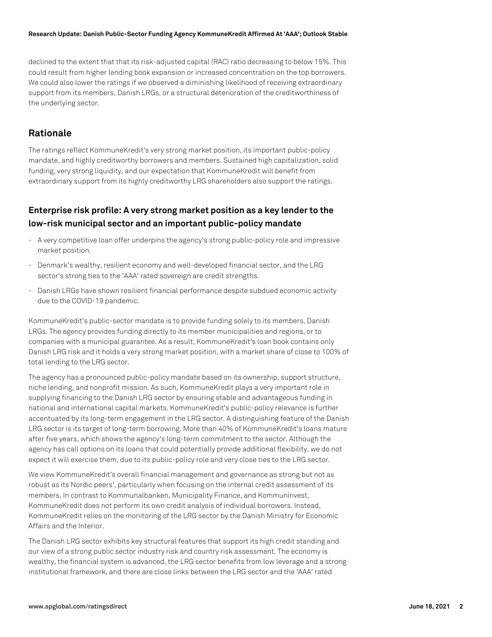#### **Research Update: Danish Public-Sector Funding Agency KommuneKredit Affirmed At 'AAA'; Outlook Stable**

declined to the extent that that its risk-adjusted capital (RAC) ratio decreasing to below 15%. This could result from higher lending book expansion or increased concentration on the top borrowers. We could also lower the ratings if we observed a diminishing likelihood of receiving extraordinary support from its members, Danish LRGs, or a structural deterioration of the creditworthiness of the underlying sector.

## **Rationale**

The ratings reflect KommuneKredit's very strong market position, its important public-policy mandate, and highly creditworthy borrowers and members. Sustained high capitalization, solid funding, very strong liquidity, and our expectation that KommuneKredit will benefit from extraordinary support from its highly creditworthy LRG shareholders also support the ratings.

## **Enterprise risk profile: A very strong market position as a key lender to the low-risk municipal sector and an important public-policy mandate**

- A very competitive loan offer underpins the agency's strong public-policy role and impressive market position.
- Denmark's wealthy, resilient economy and well-developed financial sector, and the LRG sector's strong ties to the 'AAA' rated sovereign are credit strengths.
- Danish LRGs have shown resilient financial performance despite subdued economic activity due to the COVID-19 pandemic.

KommuneKredit's public-sector mandate is to provide funding solely to its members, Danish LRGs. The agency provides funding directly to its member municipalities and regions, or to companies with a municipal guarantee. As a result, KommuneKredit's loan book contains only Danish LRG risk and it holds a very strong market position, with a market share of close to 100% of total lending to the LRG sector.

The agency has a pronounced public-policy mandate based on its ownership, support structure, niche lending, and nonprofit mission. As such, KommuneKredit plays a very important role in supplying financing to the Danish LRG sector by ensuring stable and advantageous funding in national and international capital markets. KommuneKredit's public-policy relevance is further accentuated by its long-term engagement in the LRG sector. A distinguishing feature of the Danish LRG sector is its target of long-term borrowing. More than 40% of KommuneKredit's loans mature after five years, which shows the agency's long-term commitment to the sector. Although the agency has call options on its loans that could potentially provide additional flexibility, we do not expect it will exercise them, due to its public-policy role and very close ties to the LRG sector.

We view KommuneKredit's overall financial management and governance as strong but not as robust as its Nordic peers', particularly when focusing on the internal credit assessment of its members. In contrast to Kommunalbanken, Municipality Finance, and Kommuninvest, KommuneKredit does not perform its own credit analysis of individual borrowers. Instead, KommuneKredit relies on the monitoring of the LRG sector by the Danish Ministry for Economic Affairs and the Interior.

The Danish LRG sector exhibits key structural features that support its high credit standing and our view of a strong public sector industry risk and country risk assessment. The economy is wealthy, the financial system is advanced, the LRG sector benefits from low leverage and a strong institutional framework, and there are close links between the LRG sector and the 'AAA' rated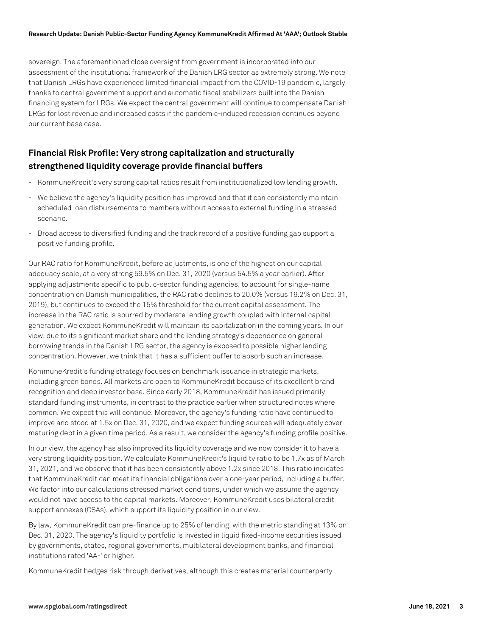#### **Research Update: Danish Public-Sector Funding Agency KommuneKredit Affirmed At 'AAA'; Outlook Stable**

sovereign. The aforementioned close oversight from government is incorporated into our assessment of the institutional framework of the Danish LRG sector as extremely strong. We note that Danish LRGs have experienced limited financial impact from the COVID-19 pandemic, largely thanks to central government support and automatic fiscal stabilizers built into the Danish financing system for LRGs. We expect the central government will continue to compensate Danish LRGs for lost revenue and increased costs if the pandemic-induced recession continues beyond our current base case.

## **Financial Risk Profile: Very strong capitalization and structurally strengthened liquidity coverage provide financial buffers**

- KommuneKredit's very strong capital ratios result from institutionalized low lending growth.
- We believe the agency's liquidity position has improved and that it can consistently maintain scheduled loan disbursements to members without access to external funding in a stressed scenario.
- Broad access to diversified funding and the track record of a positive funding gap support a positive funding profile.

Our RAC ratio for KommuneKredit, before adjustments, is one of the highest on our capital adequacy scale, at a very strong 59.5% on Dec. 31, 2020 (versus 54.5% a year earlier). After applying adjustments specific to public-sector funding agencies, to account for single-name concentration on Danish municipalities, the RAC ratio declines to 20.0% (versus 19.2% on Dec. 31, 2019), but continues to exceed the 15% threshold for the current capital assessment. The increase in the RAC ratio is spurred by moderate lending growth coupled with internal capital generation. We expect KommuneKredit will maintain its capitalization in the coming years. In our view, due to its significant market share and the lending strategy's dependence on general borrowing trends in the Danish LRG sector, the agency is exposed to possible higher lending concentration. However, we think that it has a sufficient buffer to absorb such an increase.

KommuneKredit's funding strategy focuses on benchmark issuance in strategic markets, including green bonds. All markets are open to KommuneKredit because of its excellent brand recognition and deep investor base. Since early 2018, KommuneKredit has issued primarily standard funding instruments, in contrast to the practice earlier when structured notes where common. We expect this will continue. Moreover, the agency's funding ratio have continued to improve and stood at 1.5x on Dec. 31, 2020, and we expect funding sources will adequately cover maturing debt in a given time period. As a result, we consider the agency's funding profile positive.

In our view, the agency has also improved its liquidity coverage and we now consider it to have a very strong liquidity position. We calculate KommuneKredit's liquidity ratio to be 1.7x as of March 31, 2021, and we observe that it has been consistently above 1.2x since 2018. This ratio indicates that KommuneKredit can meet its financial obligations over a one-year period, including a buffer. We factor into our calculations stressed market conditions, under which we assume the agency would not have access to the capital markets. Moreover, KommuneKredit uses bilateral credit support annexes (CSAs), which support its liquidity position in our view.

By law, KommuneKredit can pre-finance up to 25% of lending, with the metric standing at 13% on Dec. 31, 2020. The agency's liquidity portfolio is invested in liquid fixed-income securities issued by governments, states, regional governments, multilateral development banks, and financial institutions rated 'AA-' or higher.

KommuneKredit hedges risk through derivatives, although this creates material counterparty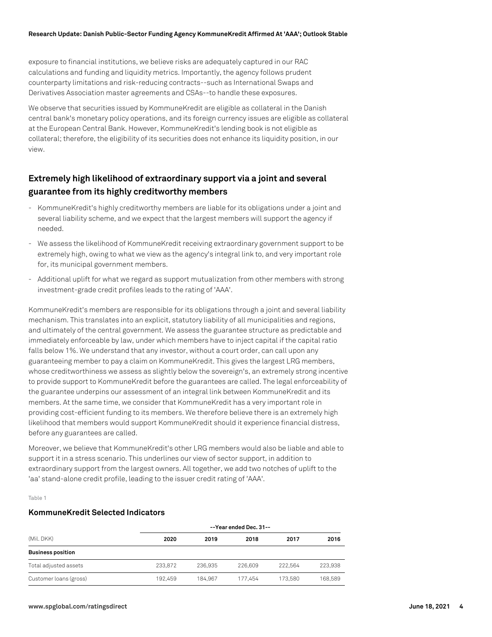exposure to financial institutions, we believe risks are adequately captured in our RAC calculations and funding and liquidity metrics. Importantly, the agency follows prudent counterparty limitations and risk-reducing contracts--such as International Swaps and Derivatives Association master agreements and CSAs--to handle these exposures.

We observe that securities issued by KommuneKredit are eligible as collateral in the Danish central bank's monetary policy operations, and its foreign currency issues are eligible as collateral at the European Central Bank. However, KommuneKredit's lending book is not eligible as collateral; therefore, the eligibility of its securities does not enhance its liquidity position, in our  $V$  $\Omega$ 

## **Extremely high likelihood of extraordinary support via a joint and several guarantee from its highly creditworthy members**

- KommuneKredit's highly creditworthy members are liable for its obligations under a joint and several liability scheme, and we expect that the largest members will support the agency if needed.
- We assess the likelihood of KommuneKredit receiving extraordinary government support to be extremely high, owing to what we view as the agency's integral link to, and very important role for, its municipal government members.
- Additional uplift for what we regard as support mutualization from other members with strong investment-grade credit profiles leads to the rating of 'AAA'.

KommuneKredit's members are responsible for its obligations through a joint and several liability mechanism. This translates into an explicit, statutory liability of all municipalities and regions, and ultimately of the central government. We assess the guarantee structure as predictable and immediately enforceable by law, under which members have to inject capital if the capital ratio falls below 1%. We understand that any investor, without a court order, can call upon any guaranteeing member to pay a claim on KommuneKredit. This gives the largest LRG members, whose creditworthiness we assess as slightly below the sovereign's, an extremely strong incentive to provide support to KommuneKredit before the guarantees are called. The legal enforceability of the guarantee underpins our assessment of an integral link between KommuneKredit and its members. At the same time, we consider that KommuneKredit has a very important role in providing cost-efficient funding to its members. We therefore believe there is an extremely high likelihood that members would support KommuneKredit should it experience financial distress, before any guarantees are called.

Moreover, we believe that KommuneKredit's other LRG members would also be liable and able to support it in a stress scenario. This underlines our view of sector support, in addition to extraordinary support from the largest owners. All together, we add two notches of uplift to the 'aa' stand-alone credit profile, leading to the issuer credit rating of 'AAA'.

Table 1

#### **KommuneKredit Selected Indicators**

| (Mil. DKK)               | --Year ended Dec. 31-- |         |         |         |         |
|--------------------------|------------------------|---------|---------|---------|---------|
|                          | 2020                   | 2019    | 2018    | 2017    | 2016    |
| <b>Business position</b> |                        |         |         |         |         |
| Total adjusted assets    | 233.872                | 236.935 | 226,609 | 222.564 | 223.938 |
| Customer loans (gross)   | 192.459                | 184.967 | 177.454 | 173.580 | 168,589 |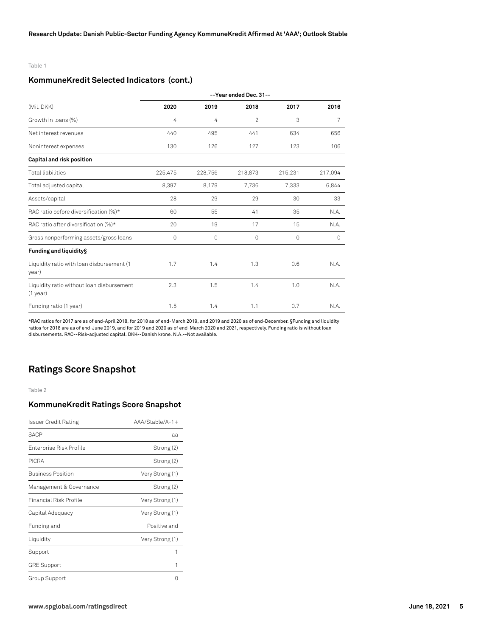#### Table 1

#### **KommuneKredit Selected Indicators (cont.)**

|                                                         | --Year ended Dec. 31-- |         |         |         |         |
|---------------------------------------------------------|------------------------|---------|---------|---------|---------|
| (Mil. DKK)                                              | 2020                   | 2019    | 2018    | 2017    | 2016    |
| Growth in loans (%)                                     | 4                      | 4       | 2       | 3       | 7       |
| Net interest revenues                                   | 440                    | 495     | 441     | 634     | 656     |
| Noninterest expenses                                    | 130                    | 126     | 127     | 123     | 106     |
| Capital and risk position                               |                        |         |         |         |         |
| <b>Total liabilities</b>                                | 225,475                | 228,756 | 218,873 | 215,231 | 217,094 |
| Total adjusted capital                                  | 8,397                  | 8,179   | 7,736   | 7,333   | 6,844   |
| Assets/capital                                          | 28                     | 29      | 29      | 30      | 33      |
| RAC ratio before diversification (%)*                   | 60                     | 55      | 41      | 35      | N.A.    |
| RAC ratio after diversification (%)*                    | 20                     | 19      | 17      | 15      | N.A.    |
| Gross nonperforming assets/gross loans                  | 0                      | $\circ$ | 0       | 0       | 0       |
| Funding and liquidity§                                  |                        |         |         |         |         |
| Liquidity ratio with loan disbursement (1<br>year)      | 1.7                    | 1.4     | 1.3     | 0.6     | N.A.    |
| Liquidity ratio without loan disbursement<br>$(1$ year) | 2.3                    | 1.5     | 1.4     | 1.0     | N.A.    |
| Funding ratio (1 year)                                  | 1.5                    | 1.4     | 1.1     | 0.7     | N.A.    |

\*RAC ratios for 2017 are as of end-April 2018, for 2018 as of end-March 2019, and 2019 and 2020 as of end-December. §Funding and liquidity ratios for 2018 are as of end-June 2019, and for 2019 and 2020 as of end-March 2020 and 2021, respectively. Funding ratio is without loan disbursements. RAC--Risk-adjusted capital. DKK--Danish krone. N.A.--Not available.

## **Ratings Score Snapshot**

Table 2

#### **KommuneKredit Ratings Score Snapshot**

| Issuer Credit Rating     | $AA/Stable/A-1+$ |
|--------------------------|------------------|
| <b>SACP</b>              | aa               |
| Enterprise Risk Profile  | Strong (2)       |
| <b>PICRA</b>             | Strong (2)       |
| <b>Business Position</b> | Very Strong (1)  |
| Management & Governance  | Strong (2)       |
| Financial Risk Profile   | Very Strong (1)  |
| Capital Adequacy         | Very Strong (1)  |
| Funding and              | Positive and     |
| Liquidity                | Very Strong (1)  |
| Support                  | 1                |
| <b>GRE Support</b>       | 1                |
| Group Support            |                  |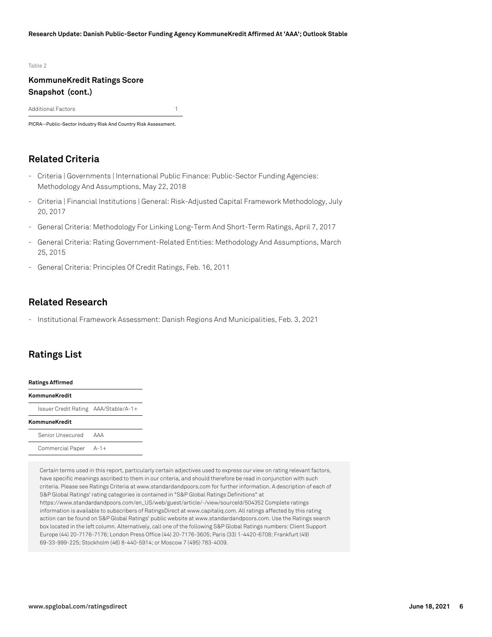#### Table 2

### **KommuneKredit Ratings Score Snapshot (cont.)**

Additional Factors 1

PICRA--Public-Sector Industry Risk And Country Risk Assessment.

## **Related Criteria**

- Criteria | Governments | International Public Finance: Public-Sector Funding Agencies: Methodology And Assumptions, May 22, 2018
- Criteria | Financial Institutions | General: Risk-Adjusted Capital Framework Methodology, July 20, 2017
- General Criteria: Methodology For Linking Long-Term And Short-Term Ratings, April 7, 2017
- General Criteria: Rating Government-Related Entities: Methodology And Assumptions, March 25, 2015
- General Criteria: Principles Of Credit Ratings, Feb. 16, 2011

## **Related Research**

- Institutional Framework Assessment: Danish Regions And Municipalities, Feb. 3, 2021

## **Ratings List**

| <b>Ratings Affirmed</b>              |     |  |  |  |
|--------------------------------------|-----|--|--|--|
| KommuneKredit                        |     |  |  |  |
| Issuer Credit Rating AAA/Stable/A-1+ |     |  |  |  |
| KommuneKredit                        |     |  |  |  |
| Senior Unsecured                     | AAA |  |  |  |
| Commercial Paper A-1+                |     |  |  |  |

Certain terms used in this report, particularly certain adjectives used to express our view on rating relevant factors, have specific meanings ascribed to them in our criteria, and should therefore be read in conjunction with such criteria. Please see Ratings Criteria at www.standardandpoors.com for further information. A description of each of S&P Global Ratings' rating categories is contained in "S&P Global Ratings Definitions" at https://www.standardandpoors.com/en\_US/web/guest/article/-/view/sourceId/504352 Complete ratings information is available to subscribers of RatingsDirect at www.capitaliq.com. All ratings affected by this rating action can be found on S&P Global Ratings' public website at www.standardandpoors.com. Use the Ratings search box located in the left column. Alternatively, call one of the following S&P Global Ratings numbers: Client Support Europe (44) 20-7176-7176; London Press Office (44) 20-7176-3605; Paris (33) 1-4420-6708; Frankfurt (49) 69-33-999-225; Stockholm (46) 8-440-5914; or Moscow 7 (495) 783-4009.